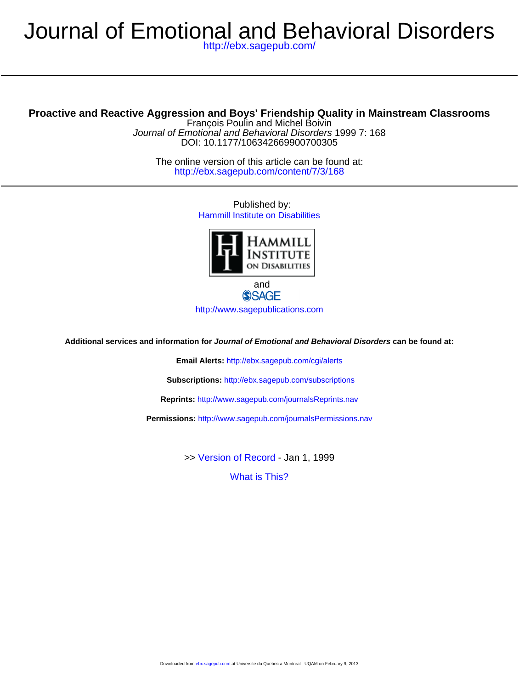# Journal of Emotional and Behavioral Disorders

<http://ebx.sagepub.com/>

# **Proactive and Reactive Aggression and Boys' Friendship Quality in Mainstream Classrooms**

DOI: 10.1177/106342669900700305 Journal of Emotional and Behavioral Disorders 1999 7: 168 François Poulin and Michel Boivin

<http://ebx.sagepub.com/content/7/3/168> The online version of this article can be found at:

> Published by: [Hammill Institute on Disabilities](http://www.hammill-institute.org/)



and **SSAGE** <http://www.sagepublications.com>

**Additional services and information for Journal of Emotional and Behavioral Disorders can be found at:**

**Email Alerts:** <http://ebx.sagepub.com/cgi/alerts>

**Subscriptions:** <http://ebx.sagepub.com/subscriptions>

**Reprints:** <http://www.sagepub.com/journalsReprints.nav>

**Permissions:** <http://www.sagepub.com/journalsPermissions.nav>

>> [Version of Record -](http://ebx.sagepub.com/content/7/3/168.full.pdf) Jan 1, 1999

[What is This?](http://online.sagepub.com/site/sphelp/vorhelp.xhtml)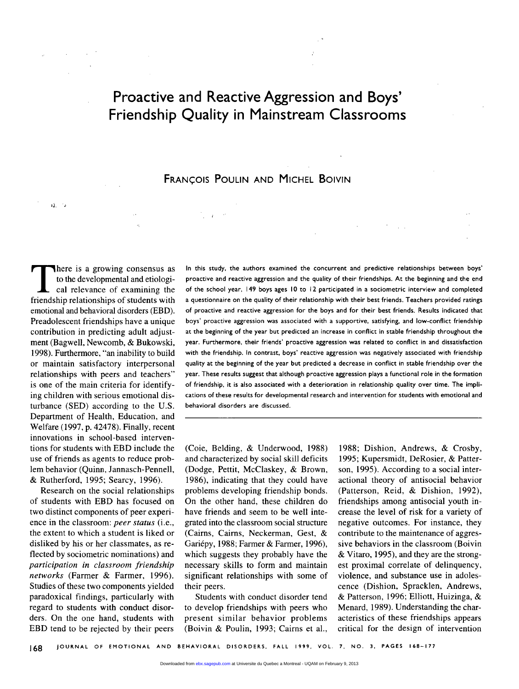# Proactive and Reactive Aggression and Boys' Friendship Quality in Mainstream Classrooms

# FRANÇOIS POULIN AND MICHEL BOIVIN

 $\frac{1}{2} \left( \frac{1}{4} \right) = 0$ 

here is a growing consensus as to the developmental and etiologi cal relevance of examining the friendship relationships of students with emotional and behavioral disorders (EBD). Preadolescent friendships have a unique contribution in predicting adult adjust ment (Bagwell, Newcomb, & Bukowski, 1998). Furthermore, "an inability to build or maintain satisfactory interpersonal relationships with peers and teachers" is one of the main criteria for identifying children with serious emotional disturbance (SED) according to the U.S. Department of Health, Education, and Welfare (1997, p. 42478). Finally, recent innovations in school-based interventions for students with EBD include the use of friends as agents to reduce problem behavior (Quinn, Jannasch-Pennell, & Rutherford, 1995; Searcy, 1996).

 $\frac{1}{2}$   $\frac{1}{2}$ 

Research on the social relationships of students with EBD has focused on two distinct components of peer experi ence in the classroom: peer status (i.e., the extent to which a student is liked or disliked by his or her classmates, as reflected by sociometric nominations) and participation in classroom friendship networks (Farmer & Farmer, 1996). Studies of these two components yielded paradoxical findings, particularly with regard to students with conduct disorders. On the one hand, students with EBD tend to be rejected by their peers

In this study, the authors examined the concurrent and predictive relationships between boys' proactive and reactive aggression and the quality of their friendships. At the beginning and the end of the school year, 149 boys ages 10 to 12 participated in a sociometric interview and completed a questionnaire on the quality of their relationship with their best friends. Teachers provided ratings of proactive and reactive aggression for the boys and for their best friends. Results indicated that boys' proactive aggression was associated with a supportive, satisfying, and low-conflict friendship at the beginning of the year but predicted an increase in conflict in stable friendship throughout the year. Furthermore, their friends' proactive aggression was related to conflict in and dissatisfaction with the friendship. In contrast, boys' reactive aggression was negatively associated with friendship quality at the beginning of the year but predicted a decrease in conflict in stable friendship over the year. These results suggest that although proactive aggression plays a functional role in the formation of friendship, it is also associated with a deterioration in relationship quality over time. The implications of these results for developmental research and intervention for students with emotional and behavioral disorders are discussed.

(Coie, Belding, & Underwood, 1988) and characterized by social skill deficits (Dodge, Pettit, McClaskey, & Brown, 1986), indicating that they could have problems developing friendship bonds. On the other hand, these children do have friends and seem to be well integrated into the classroom social structure (Cairns, Cairns, Neckerman, Gest, & Gari6py, 1988; Farmer & Farmer, 1996), which suggests they probably have the necessary skills to form and maintain significant relationships with some of their peers.

Students with conduct disorder tend to develop friendships with peers who present similar behavior problems (Boivin & Poulin, 1993; Cairns et al., 1988; Dishion, Andrews, & Crosby, 1995; Kupersmidt, DeRosier, & Patterson, 1995). According to a social interactional theory of antisocial behavior (Patterson, Reid, & Dishion, 1992), friendships among antisocial youth increase the level of risk for a variety of negative outcomes. For instance, they contribute to the maintenance of aggressive behaviors in the classroom (Boivin & Vitaro, 1995), and they are the strongest proximal correlate of delinquency, violence, and substance use in adolescence (Dishion, Spracklen, Andrews, & Patterson, 1996; Elliott, Huizinga, & Menard, 1989). Understanding the characteristics of these friendships appears critical for the design of intervention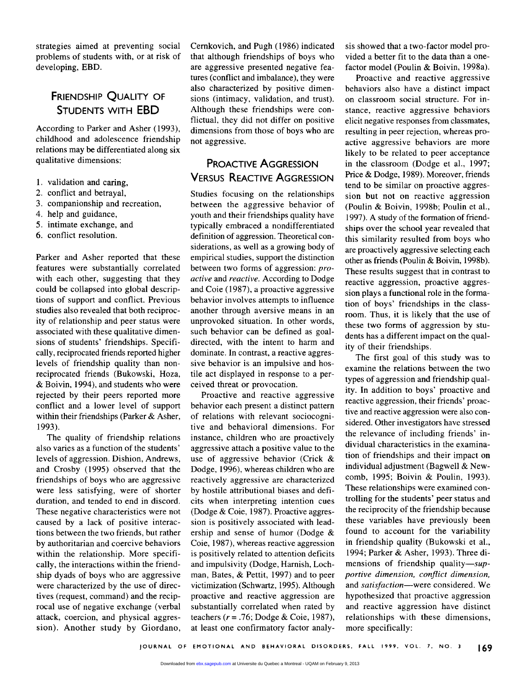strategies aimed at preventing social problems of students with, or at risk of developing, EBD.

# FRIENDSHIP QUALITY OF STUDENTS WITH EBD

According to Parker and Asher (1993), childhood and adolescence friendship relations may be differentiated along six qualitative dimensions:

- 1. validation and caring,
- 2. conflict and betrayal,
- 3. companionship and recreation,
- 4. help and guidance,
- 5. intimate exchange, and
- 6. conflict resolution.

Parker and Asher reported that these features were substantially correlated with each other, suggesting that they could be collapsed into global descriptions of support and conflict. Previous studies also revealed that both reciprocity of relationship and peer status were associated with these qualitative dimensions of students' friendships. Specifically, reciprocated friends reported higher levels of friendship quality than nonreciprocated friends (Bukowski, Hoza, & Boivin, 1994), and students who were rejected by their peers reported more conflict and a lower level of support within their friendships (Parker & Asher, 1993).

The quality of friendship relations also varies as a function of the students' levels of aggression. Dishion, Andrews, and Crosby (1995) observed that the friendships of boys who are aggressive were less satisfying, were of shorter duration, and tended to end in discord. These negative characteristics were not caused by a lack of positive interactions between the two friends, but rather by authoritarian and coercive behaviors within the relationship. More specifically, the interactions within the friendship dyads of boys who are aggressive were characterized by the use of directives (request, command) and the reciprocal use of negative exchange (verbal attack, coercion, and physical aggression). Another study by Giordano,

Cemkovich, and Pugh (1986) indicated that although friendships of boys who are aggressive presented negative features (conflict and imbalance), they were also characterized by positive dimensions (intimacy, validation, and trust). Although these friendships were conflictual, they did not differ on positive dimensions from those of boys who are not aggressive.

# PROACTIVE AGGRESSION VERSUS REACTIVE AGGRESSION

Studies focusing on the relationships between the aggressive behavior of youth and their friendships quality have typically embraced a nondifferentiated definition of aggression. Theoretical considerations, as well as a growing body of empirical studies, support the distinction between two forms of aggression: proactive and reactive. According to Dodge and Coie (1987), a proactive aggressive behavior involves attempts to influence another through aversive means in an unprovoked situation. In other words, such behavior can be defined as goaldirected, with the intent to harm and dominate. In contrast, a reactive aggressive behavior is an impulsive and hostile act displayed in response to a perceived threat or provocation.

Proactive and reactive aggressive behavior each present a distinct pattern of relations with relevant sociocognitive and behavioral dimensions. For instance, children who are proactively aggressive attach a positive value to the use of aggressive behavior (Crick & Dodge, 1996), whereas children who are reactively aggressive are characterized by hostile attributional biases and deficits when interpreting intention cues (Dodge & Coie, 1987). Proactive aggression is positively associated with leadership and sense of humor (Dodge & Coie, 1987), whereas reactive aggression is positively related to attention deficits and impulsivity (Dodge, Hamish, Lochman, Bates, & Pettit, 1997) and to peer victimization (Schwartz, 1995). Although proactive and reactive aggression are substantially correlated when rated by teachers ( $r = .76$ ; Dodge & Coie, 1987), at least one confirmatory factor analysis showed that a two-factor model provided a better fit to the data than a onefactor model (Poulin & Boivin, 1998a).

Proactive and reactive aggressive behaviors also have a distinct impact on classroom social structure. For instance, reactive aggressive behaviors elicit negative responses from classmates, resulting in peer rejection, whereas proactive aggressive behaviors are more likely to be related to peer acceptance in the classroom (Dodge et al., 1997; Price & Dodge, 1989). Moreover, friends tend to be similar on proactive aggression but not on reactive aggression (Poulin & Boivin, 1998b; Poulin et al., 1997). A study of the formation of friendships over the school year revealed that this similarity resulted from boys who are proactively aggressive selecting each other as friends (Poulin & Boivin, 1998b). These results suggest that in contrast to reactive aggression, proactive aggression plays a functional role in the formation of boys' friendships in the classroom. Thus, it is likely that the use of these two forms of aggression by students has a different impact on the quality of their friendships.

The first goal of this study was to examine the relations between the two types of aggression and friendship quality. In addition to boys' proactive and reactive aggression, their friends' proactive and reactive aggression were also considered. Other investigators have stressed the relevance of including friends' individual characteristics in the examination of friendships and their impact on individual adjustment (Bagwell & Newcomb, 1995; Boivin & Poulin, 1993). These relationships were examined controlling for the students' peer status and the reciprocity of the friendship because these variables have previously been found to account for the variability in friendship quality (Bukowski et al., 1994; Parker & Asher, 1993). Three dimensions of friendship quality- $sup$ portive dimension, conflict dimension, and satisfaction-were considered. We hypothesized that proactive aggression and reactive aggression have distinct relationships with these dimensions, more specifically: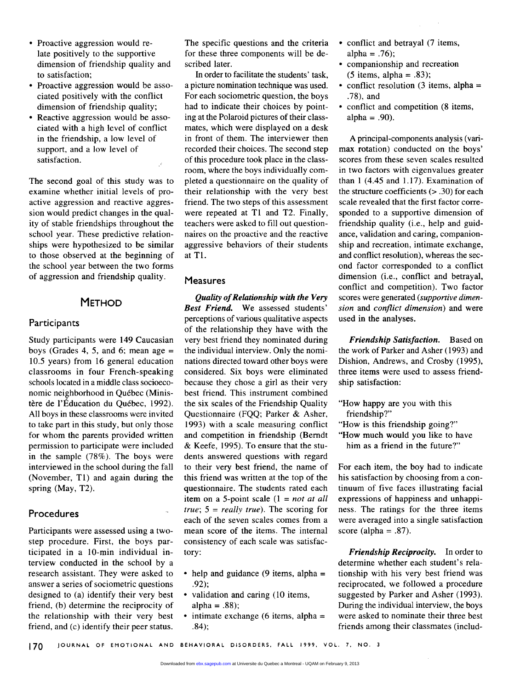- ~ Proactive aggression would relate positively to the supportive dimension of friendship quality and to satisfaction;
- ~ Proactive aggression would be associated positively with the conflict dimension of friendship quality;
- ~ Reactive aggression would be associated with a high level of conflict in the friendship, a low level of support, and a low level of satisfaction.

The second goal of this study was to examine whether initial levels of proactive aggression and reactive aggression would predict changes in the quality of stable friendships throughout the school year. These predictive relationships were hypothesized to be similar to those observed at the beginning of the school year between the two forms of aggression and friendship quality.

# **METHOD**

#### **Participants**

Study participants were 149 Caucasian boys (Grades 4, 5, and 6; mean age  $=$ 10.5 years) from 16 general education classrooms in four French-speaking schools located in a middle class socioeconomic neighborhood in Qu6bec (Ministère de l'Éducation du Québec, 1992). All boys in these classrooms were invited to take part in this study, but only those for whom the parents provided written permission to participate were included in the sample (78%). The boys were interviewed in the school during the fall (November, Tl) and again during the spring (May, T2).

## **Procedures**

Participants were assessed using a twostep procedure. First, the boys participated in a 10-min individual interview conducted in the school by a research assistant. They were asked to answer a series of sociometric questions designed to (a) identify their very best friend, (b) determine the reciprocity of the relationship with their very best friend, and (c) identify their peer status.

The specific questions and the criteria for these three components will be described later.

In order to facilitate the students' task, a picture nomination technique was used. For each sociometric question, the boys had to indicate their choices by pointing at the Polaroid pictures of their classmates, which were displayed on a desk in front of them. The interviewer then recorded their choices. The second step of this procedure took place in the classroom, where the boys individually completed a questionnaire on the quality of their relationship with the very best friend. The two steps of this assessment were repeated at T1 and T2. Finally, teachers were asked to fill out questionnaires on the proactive and the reactive aggressive behaviors of their students at T1.

#### Measures

Quality of Relationship with the Very Best Friend. We assessed students' perceptions of various qualitative aspects of the relationship they have with the very best friend they nominated during the individual interview. Only the nominations directed toward other boys were considered. Six boys were eliminated because they chose a girl as their very best friend. This instrument combined the six scales of the Friendship Quality Questionnaire (FQQ; Parker & Asher, 1993) with a scale measuring conflict and competition in friendship (Berndt & Keefe, 1995). To ensure that the students answered questions with regard to their very best friend, the name of this friend was written at the top of the questionnaire. The students rated each item on a 5-point scale  $(1 = not at all)$ true;  $5 = \text{really true}$ ). The scoring for each of the seven scales comes from a mean score of the items. The internal consistency of each scale was satisfactory:

- $\bullet$  help and guidance (9 items, alpha = .92);
- ~ validation and caring (10 items, alpha =  $.88$ );
- $\bullet$  intimate exchange (6 items, alpha = .84);
- ~ conflict and betrayal (7 items, alpha =  $.76$ :
- companionship and recreation  $(5 \text{ items}, \text{ alpha} = .83);$
- conflict resolution (3 items, alpha = .78), and
- ~ conflict and competition (8 items, alpha  $= .90$ ).

A principal-components analysis (vari max rotation) conducted on the boys' scores from these seven scales resulted in two factors with eigenvalues greater than 1 (4.45 and 1.17). Examination of the structure coefficients  $(> .30)$  for each scale revealed that the first factor corresponded to a supportive dimension of friendship quality (i.e., help and guid ance, validation and caring, companionship and recreation, intimate exchange, and conflict resolution), whereas the second factor corresponded to a conflict dimension (i.e., conflict and betrayal, conflict and competition). Two factor scores were generated (supportive dimension and conflict dimension) and were used in the analyses.

Friendship Satisfaction. Based on the work of Parker and Asher (1993) and Dishion, Andrews, and Crosby (1995), three items were used to assess friendship satisfaction:

- "How happy are you with this friendship?"
- "How is this friendship going?"
- "How much would you like to have him as a friend in the future?"

For each item, the boy had to indicate his satisfaction by choosing from a continuum of five faces illustrating facial expressions of happiness and unhappi ness. The ratings for the three items were averaged into a single satisfaction score (alpha =  $.87$ ).

Friendship Reciprocity. In order to determine whether each student's relationship with his very best friend was reciprocated, we followed a procedure suggested by Parker and Asher (1993). During the individual interview, the boys were asked to nominate their three best friends among their classmates (includ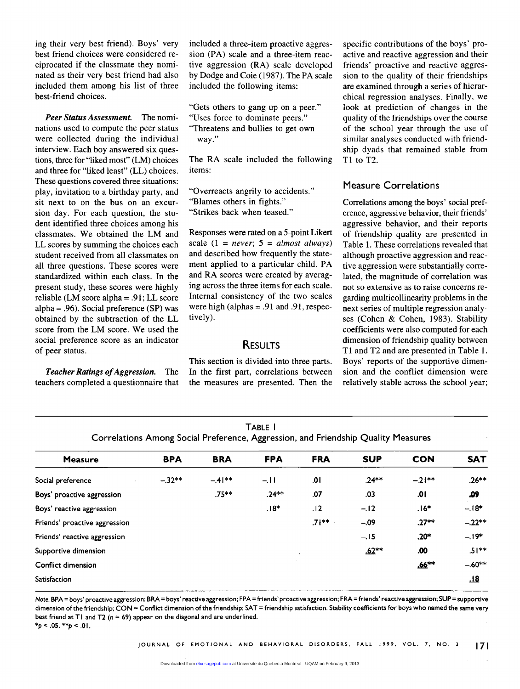ing their very best friend). Boys' very best friend choices were considered reciprocated if the classmate they nominated as their very best friend had also included them among his list of three best-friend choices.

Peer Status Assessment. The nominations used to compute the peer status were collected during the individual interview. Each boy answered six questions, three for "liked most" (LM) choices and three for "liked least" (LL) choices. These questions covered three situations: play, invitation to a birthday party, and sit next to on the bus on an excursion day. For each question, the student identified three choices among his classmates. We obtained the LM and LL scores by summing the choices each student received from all classmates on all three questions. These scores were standardized within each class. In the present study, these scores were highly reliable (LM score alpha = .91; LL score alpha = .96). Social preference  $(SP)$  was obtained by the subtraction of the LL score from the LM score. We used the social preference score as an indicator of peer status.

Teacher Ratings of Aggression. The teachers completed a questionnaire that included a three-item proactive aggression (PA) scale and a three-item reactive aggression (RA) scale developed by Dodge and Coie (1987). The PA scale included the following items:

"Gets others to gang up on a peer."

"Uses force to dominate peers." "Threatens and bullies to get own  $\forall$ way."

The RA scale included the following items:

"Overreacts angrily to accidents." "Blames others in fights." "Strikes back when teased."

Responses were rated on a 5-point Likert scale  $(1 = never; 5 = almost always)$ and described how frequently the statement applied to a particular child. PA and RA scores were created by averaging across the three items for each scale. Internal consistency of the two scales were high (alphas  $= .91$  and  $.91$ , respectively).

#### **RESULTS**

This section is divided into three parts. In the first part, correlations between the measures are presented. Then the

TABLE I Correlations Among Social Preference, Aggression, and Friendship Quality Measures

specific contributions of the boys' proactive and reactive aggression and their friends' proactive and reactive aggression to the quality of their friendships are examined through a series of hierarchical regression analyses. Finally, we look at prediction of changes in the quality of the friendships over the course of the school year through the use of similar analyses conducted with friendship dyads that remained stable from Tl to T2.

#### Measure Correlations

Correlations among the boys' social preference, aggressive behavior, their friends' aggressive behavior, and their reports of friendship quality are presented in Table 1. These correlations revealed that although proactive aggression and reactive aggression were substantially correlated, the magnitude of correlation was not so extensive as to raise concerns regarding multicollinearity problems in the next series of multiple regression analy ses (Cohen & Cohen, 1983). Stability coefficients were also computed for each dimension of friendship quality between T1 and T2 and are presented in Table 1. Boys' reports of the supportive dimension and the conflict dimension were relatively stable across the school year;

| <b>Measure</b>                | <b>BPA</b> | <b>BRA</b> | <b>FPA</b> | <b>FRA</b> | <b>SUP</b> | <b>CON</b> | <b>SAT</b> |
|-------------------------------|------------|------------|------------|------------|------------|------------|------------|
| Social preference             | $-.32**$   | $-.41***$  | $-.11$     | .01        | $.24***$   | $-21**$    | $.26***$   |
| Boys' proactive aggression    |            | $.75**$    | $.24***$   | .07        | .03        | .01        | -09        |
| Boys' reactive aggression     |            |            | $.18*$     | .12        | $-.12$     | $.16*$     | $-.18*$    |
| Friends' proactive aggression |            |            |            | $.71***$   | $-.09$     | $.27**$    | $-.22**$   |
| Friends' reactive aggression  |            |            |            |            | $-.15$     | $.20*$     | $-.19*$    |
| Supportive dimension          |            |            |            |            | $.62**$    | .00        | $.51**$    |
| Conflict dimension            |            |            |            |            |            | $.66***$   | $-.60**$   |
| Satisfaction                  |            |            |            |            |            |            | <u>.18</u> |
|                               |            |            |            |            |            |            |            |

Note. BPA = boys' proactive aggression; BRA = boys' reactive aggression; FPA = friends' proactive aggression; FRA = friends' reactive aggression; SUP = supportive dimension of the friendship; CON = Conflict dimension of the friendship; SAT = friendship satisfaction. Stability coefficients for boys who named the same very best friend at T1 and T2 ( $n = 69$ ) appear on the diagonal and are underlined.  $*_{p}$  < .05.  $*_{p}$  < .01.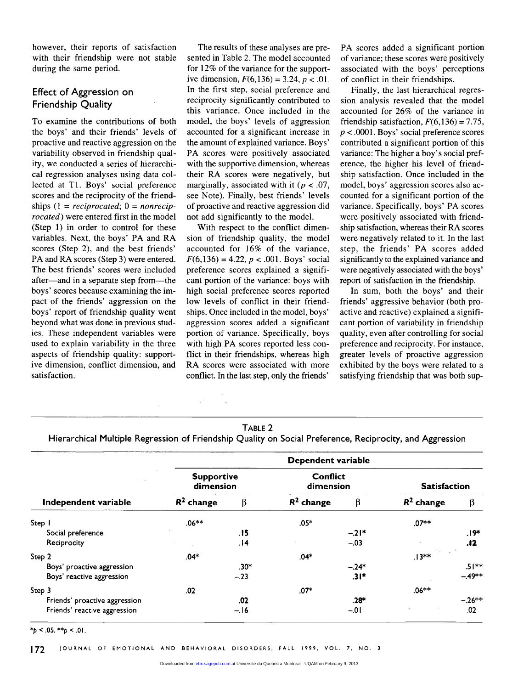however, their reports of satisfaction with their friendship were not stable during the same period.

# Effect of Aggression on Friendship Quality

To examine the contributions of both the boys' and their friends' levels of proactive and reactive aggression on the variability observed in friendship quality, we conducted a series of hierarchical regression analyses using data collected at Tl. Boys' social preference scores and the reciprocity of the friendships (1 = reciprocated;  $0 = nonrecip$ rocated) were entered first in the model (Step 1) in order to control for these variables. Next, the boys' PA and RA scores (Step 2), and the best friends' PA and RA scores (Step 3) were entered. The best friends' scores were included after—and in a separate step from—the boys' scores because examining the impact of the friends' aggression on the boys' report of friendship quality went beyond what was done in previous studies. These independent variables were used to explain variability in the three aspects of friendship quality: supportive dimension, conflict dimension, and satisfaction.

The results of these analyses are presented in Table 2. The model accounted for 12% of the variance for the supportive dimension,  $F(6,136) = 3.24$ ,  $p < .01$ . In the first step, social preference and reciprocity significantly contributed to this variance. Once included in the model, the boys' levels of aggression accounted for a significant increase in the amount of explained variance. Boys' PA scores were positively associated with the supportive dimension, whereas their RA scores were negatively, but marginally, associated with it ( $p < .07$ , see Note). Finally, best friends' levels of proactive and reactive aggression did not add significantly to the model.

With respect to the conflict dimension of friendship quality, the model accounted for 16% of the variance,  $F(6,136) = 4.22, p < .001$ . Boys' social preference scores explained a signifi cant portion of the variance: boys with high social preference scores reported low levels of conflict in their friendships. Once included in the model, boys' aggression scores added a significant portion of variance. Specifically, boys with high PA scores reported less conflict in their friendships, whereas high RA scores were associated with more conflict. In the last step, only the friends'

PA scores added a significant portion of variance; these scores were positively associated with the boys' perceptions of conflict in their friendships.

Finally, the last hierarchical regression analysis revealed that the model accounted for 26% of the variance in friendship satisfaction,  $F(6,136) = 7.75$ ,  $p < .0001$ . Boys' social preference scores contributed a significant portion of this variance: The higher a boy's social pref erence, the higher his level of friendship satisfaction. Once included in the model, boys' aggression scores also accounted for a significant portion of the variance. Specifically, boys' PA scores were positively associated with friendship satisfaction, whereas their RA scores were negatively related to it. In the last step, the friends' PA scores added significantly to the explained variance and were negatively associated with the boys' report of satisfaction in the friendship.

In sum, both the boys' and their friends' aggressive behavior (both proactive and reactive) explained a signifi cant portion of variability in friendship quality, even after controlling for social preference and reciprocity. For instance, greater levels of proactive aggression exhibited by the boys were related to a satisfying friendship that was both sup-

|                               | <b>Dependent variable</b>      |        |                              |         |                     |          |  |  |
|-------------------------------|--------------------------------|--------|------------------------------|---------|---------------------|----------|--|--|
|                               | <b>Supportive</b><br>dimension |        | <b>Conflict</b><br>dimension |         | <b>Satisfaction</b> |          |  |  |
| Independent variable          | $R^2$ change                   | β      | $R^2$ change                 | β       | $R^2$ change        | β        |  |  |
| Step 1                        | $.06**$                        |        | $.05*$                       |         | $.07**$             |          |  |  |
| Social preference             |                                | .15    |                              | $-21*$  |                     | *19.     |  |  |
| Reciprocity                   |                                | .14    |                              | $-.03$  |                     | .t2      |  |  |
| Step 2                        | $.04*$                         |        | $.04*$                       |         | $.13***$            |          |  |  |
| Boys' proactive aggression    |                                | $.30*$ |                              | $-.24*$ |                     | $.51***$ |  |  |
| Boys' reactive aggression     |                                | $-.23$ |                              | $.31*$  |                     | $-49**$  |  |  |
| Step 3                        | .02                            |        | $.07*$                       |         | $.06**$             |          |  |  |
| Friends' proactive aggression |                                | .02    |                              | $.28*$  |                     | $-26**$  |  |  |
| Friends' reactive aggression  |                                | $-.16$ |                              | $-.01$  |                     | .02      |  |  |

TABLE 2

 $*_{p}$  < .05.  $*_{p}$  < .01.

JOURNAL OF EMOTIONAL AND BEHAVIORAL DISORDERS, FALL 1999, VOL. 7, NO. 3 172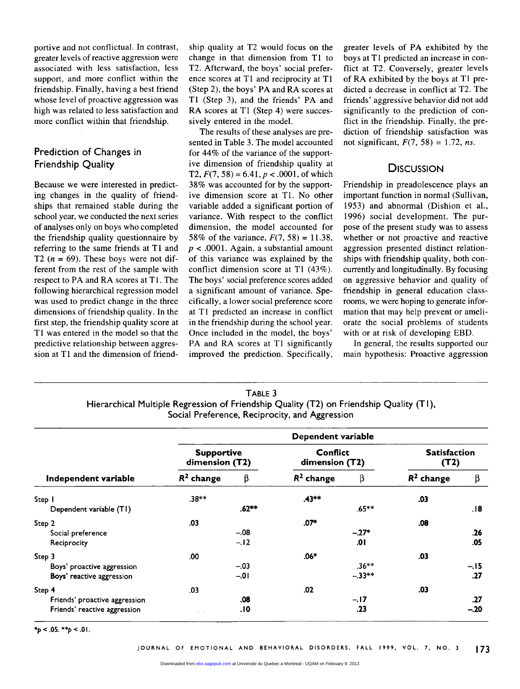portive and not conflictual. In contrast, greater levels of reactive aggression were associated with less satisfaction, less support, and more conflict within the friendship. Finally, having a best friend whose level of proactive aggression was high was related to less satisfaction and more conflict within that friendship.

# Prediction of Changes in Friendship Quality

Because we were interested in predicting changes in the quality of friendships that remained stable during the school year, we conducted the next series of analyses only on boys who completed the friendship quality questionnaire by referring to the same friends at T1 and T2 ( $n = 69$ ). These boys were not different from the rest of the sample with respect to PA and RA scores at Tl. The following hierarchical regression model was used to predict change in the three dimensions of friendship quality. In the first step, the friendship quality score at T1 was entered in the model so that the predictive relationship between aggression at Tl and the dimension of friendship quality at T2 would focus on the change in that dimension from T1 to T2. Afterward, the boys' social prefer ence scores at T1 and reciprocity at T1 (Step 2), the boys' PA and RA scores at Tl (Step 3), and the friends' PA and RA scores at Tl (Step 4) were successively entered in the model.

The results of these analyses are presented in Table 3. The model accounted for 44% of the variance of the supportive dimension of friendship quality at T2,  $F(7, 58) = 6.41, p < .0001$ , of which 38% was accounted for by the supportive dimension score at Tl. No other variable added a significant portion of variance. With respect to the conflict dimension, the model accounted for 58% of the variance,  $F(7, 58) = 11.38$ ,  $p < .0001$ . Again, a substantial amount of this variance was explained by the conflict dimension score at Tl (43%). The boys' social preference scores added a significant amount of variance. Specifically, a lower social preference score at T1 predicted an increase in conflict in the friendship during the school year. Once included in the model, the boys' PA and RA scores at T1 significantly improved the prediction. Specifically,

greater levels of PA exhibited by the boys at T1 predicted an increase in conflict at T2. Conversely, greater levels of RA exhibited by the boys at T1 predicted a decrease in conflict at T2. The friends' aggressive behavior did not add significantly to the prediction of conflict in the friendship. Finally, the prediction of friendship satisfaction was not significant,  $F(7, 58) = 1.72$ , ns.

## **DISCUSSION**

Friendship in preadolescence plays an important function in normal (Sullivan, 1953) and abnormal (Dishion et al., 1996) social development. The purpose of the present study was to assess whether or not proactive and reactive aggression presented distinct relationships with friendship quality, both concurrently and longitudinally. By focusing on aggressive behavior and quality of friendship in general education classrooms, we were hoping to generate information that may help prevent or ameliorate the social problems of students with or at risk of developing EBD.

In general, the results supported our main hypothesis: Proactive aggression

## TABLE 3 Hierarchical Multiple Regression of Friendship Quality (T2) on Friendship Quality (T1), Social Preference, Reciprocity, and Aggression

|                               | Dependent variable                  |          |                                   |          |                             |        |  |  |
|-------------------------------|-------------------------------------|----------|-----------------------------------|----------|-----------------------------|--------|--|--|
|                               | <b>Supportive</b><br>dimension (T2) |          | <b>Conflict</b><br>dimension (T2) |          | <b>Satisfaction</b><br>(T2) |        |  |  |
| Independent variable          | $R^2$ change                        | β        | $R^2$ change                      | β        | $R^2$ change                | β      |  |  |
| Step I                        | $.38***$                            |          | $.43***$                          |          | .03                         |        |  |  |
| Dependent variable (T1)       |                                     | $.62***$ |                                   | $.65***$ |                             | .18    |  |  |
| Step 2                        | .03                                 |          | $.07*$                            |          | .08                         |        |  |  |
| Social preference             |                                     | $-.08$   |                                   | $-.27*$  |                             | .26    |  |  |
| Reciprocity                   |                                     | $-.12$   |                                   | .01      |                             | .05    |  |  |
| Step 3                        | .00                                 |          | $.06*$                            |          | .03                         |        |  |  |
| Boys' proactive aggression    |                                     | $-.03$   |                                   | $.36***$ |                             | $-.15$ |  |  |
| Boys' reactive aggression     |                                     | $-01$    |                                   | $-.33**$ |                             | .27    |  |  |
| Step 4                        | .03                                 |          | .02                               |          | .03                         |        |  |  |
| Friends' proactive aggression |                                     | .08      |                                   | $-.17$   |                             | .27    |  |  |
| Friends' reactive aggression  | $1 - 1$                             | .10      |                                   | .23      |                             | $-.20$ |  |  |

 $*_p$  < .05. \*\*p < .01.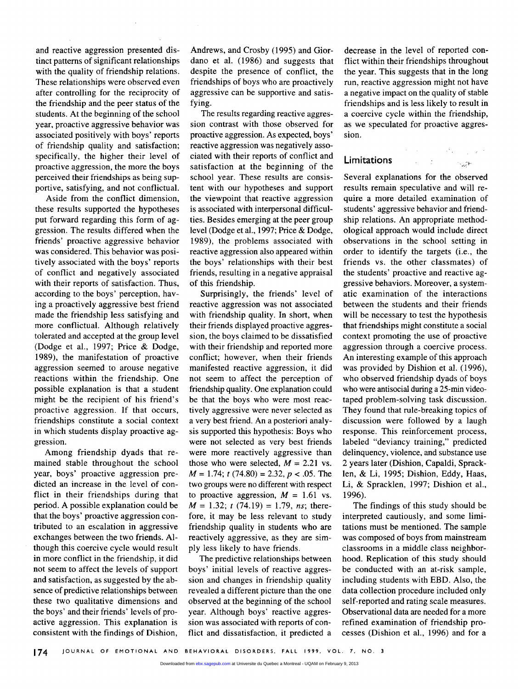and reactive aggression presented distinct patterns of significant relationships with the quality of friendship relations. These relationships were observed even after controlling for the reciprocity of the friendship and the peer status of the students. At the beginning of the school year, proactive aggressive behavior was associated positively with boys' reports of friendship quality and satisfaction; specifically, the higher their level of proactive aggression, the more the boys perceived their friendships as being supportive, satisfying, and not conflictual.

Aside from the conflict dimension, these results supported the hypotheses put forward regarding this form of aggression. The results differed when the friends' proactive aggressive behavior was considered. This behavior was positively associated with the boys' reports of conflict and negatively associated with their reports of satisfaction. Thus, according to the boys' perception, having a proactively aggressive best friend made the friendship less satisfying and more conflictual. Although relatively tolerated and accepted at the group level (Dodge et al., 1997; Price & Dodge, 1989), the manifestation of proactive aggression seemed to arouse negative reactions within the friendship. One possible explanation is that a student might be the recipient of his friend's proactive aggression. If that occurs, friendships constitute a social context in which students display proactive aggression.

Among friendship dyads that remained stable throughout the school year, boys' proactive aggression predicted an increase in the level of conflict in their friendships during that period. A possible explanation could be that the boys' proactive aggression contributed to an escalation in aggressive exchanges between the two friends. Although this coercive cycle would result in more conflict in the friendship, it did not seem to affect the levels of support and satisfaction, as suggested by the absence of predictive relationships between these two qualitative dimensions and the boys' and their friends' levels of proactive aggression. This explanation is consistent with the findings of Dishion,

Andrews, and Crosby (1995) and Giordano et al. (1986) and suggests that despite the presence of conflict, the friendships of boys who are proactively aggressive can be supportive and satisfying.

The results regarding reactive aggression contrast with those observed for proactive aggression. As expected, boys' reactive aggression was negatively associated with their reports of conflict and satisfaction at the beginning of the school year. These results are consistent with our hypotheses and support the viewpoint that reactive aggression is associated with interpersonal difficulties. Besides emerging at the peer group level (Dodge et al., 1997; Price & Dodge, 1989), the problems associated with reactive aggression also appeared within the boys' relationships with their best friends, resulting in a negative appraisal of this friendship.

Surprisingly, the friends' level of reactive aggression was not associated with friendship quality. In short, when their friends displayed proactive aggression, the boys claimed to be dissatisfied with their friendship and reported more conflict; however, when their friends manifested reactive aggression, it did not seem to affect the perception of friendship quality. One explanation could be that the boys who were most reactively aggressive were never selected as a very best friend. An a posteriori analysis supported this hypothesis: Boys who were not selected as very best friends were more reactively aggressive than those who were selected,  $M = 2.21$  vs.  $M = 1.74$ ;  $t(74.80) = 2.32$ ,  $p < .05$ . The two groups were no different with respect to proactive aggression,  $M = 1.61$  vs.  $M = 1.32$ ; t (74.19) = 1.79, ns; therefore, it may be less relevant to study friendship quality in students who are reactively aggressive, as they are simply less likely to have friends.

The predictive relationships between boys' initial levels of reactive aggression and changes in friendship quality revealed a different picture than the one observed at the beginning of the school year. Although boys' reactive aggression was associated with reports of conflict and dissatisfaction, it predicted a

decrease in the level of reported conflict within their friendships throughout the year. This suggests that in the long run, reactive aggression might not have a negative impact on the quality of stable friendships and is less likely to result in a coercive cycle within the friendship, as we speculated for proactive aggression.

# $\textsf{Limitations} \begin{picture}(10,10) \put(0,0){\line(1,0){155}} \put(0,0){\line(1,0){155}} \put(0,0){\line(1,0){155}} \put(0,0){\line(1,0){155}} \put(0,0){\line(1,0){155}} \put(0,0){\line(1,0){155}} \put(0,0){\line(1,0){155}} \put(0,0){\line(1,0){155}} \put(0,0){\line(1,0){155}} \put(0,0){\line(1,0){155}} \put(0,0){\line(1,0){155}} \put(0$

Several explanations for the observed results remain speculative and will require a more detailed examination of students' aggressive behavior and friendship relations. An appropriate methodological approach would include direct observations in the school setting in order to identify the targets (i.e., the friends vs. the other classmates) of the students' proactive and reactive aggressive behaviors. Moreover, a systematic examination of the interactions between the students and their friends will be necessary to test the hypothesis that friendships might constitute a social context promoting the use of proactive aggression through a coercive process. An interesting example of this approach was provided by Dishion et al. (1996), who observed friendship dyads of boys who were antisocial during a 25-min videotaped problem-solving task discussion. They found that rule-breaking topics of discussion were followed by a laugh response. This reinforcement process, labeled "deviancy training," predicted delinquency, violence, and substance use 2 years later (Dishion, Capaldi, Spracklen, & Li, 1995; Dishion, Eddy, Haas, Li, & Spracklen, 1997; Dishion et al., 1996).

The findings of this study should be interpreted cautiously, and some limitations must be mentioned. The sample was composed of boys from mainstream classrooms in a middle class neighborhood. Replication of this study should be conducted with an at-risk sample, including students with EBD. Also, the data collection procedure included only self-reported and rating scale measures. Observational data are needed for a more refined examination of friendship processes (Dishion et al., 1996) and for a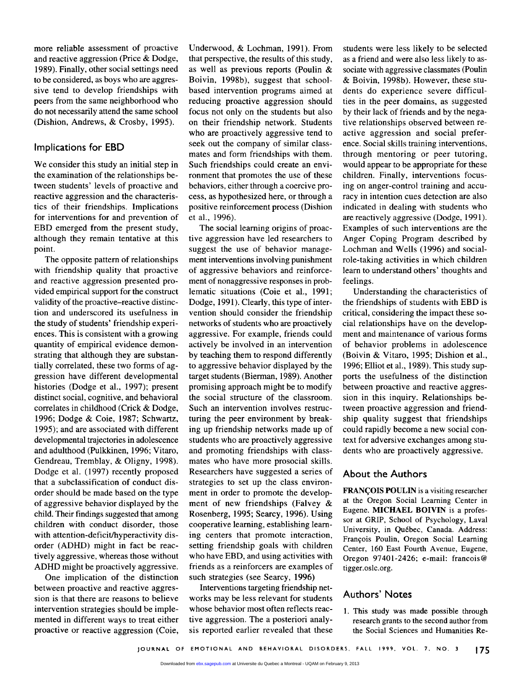more reliable assessment of proactive and reactive aggression (Price & Dodge, 1989). Finally, other social settings need to be considered, as boys who are aggressive tend to develop friendships with peers from the same neighborhood who do not necessarily attend the same school (Dishion, Andrews, & Crosby, 1995).

#### Implications for EBD

We consider this study an initial step in the examination of the relationships between students' levels of proactive and reactive aggression and the characteristics of their friendships. Implications for interventions for and prevention of EBD emerged from the present study, although they remain tentative at this point.

The opposite pattern of relationships with friendship quality that proactive and reactive aggression presented provided empirical support for the construct validity of the proactive-reactive distinction and underscored its usefulness in the study of students' friendship experi ences. This is consistent with a growing quantity of empirical evidence demonstrating that although they are substantially correlated, these two forms of aggression have different developmental histories (Dodge et al., 1997); present distinct social, cognitive, and behavioral correlates in childhood (Crick & Dodge, 1996; Dodge & Coie, 1987; Schwartz, 1995); and are associated with different developmental trajectories in adolescence and adulthood (Pulkkinen, 1996; Vitaro, Gendreau, Tremblay, & Oligny, 1998). Dodge et al. (1997) recently proposed that a subclassification of conduct disorder should be made based on the type of aggressive behavior displayed by the child. Their findings suggested that among children with conduct disorder, those with attention-deficit/hyperactivity disorder (ADHD) might in fact be reactively aggressive, whereas those without ADHD might be proactively aggressive.

One implication of the distinction between proactive and reactive aggression is that there are reasons to believe intervention strategies should be implemented in different ways to treat either proactive or reactive aggression (Coie,

Underwood, & Lochman, 1991). From that perspective, the results of this study, as well as previous reports (Poulin & Boivin, 1998b), suggest that schoolbased intervention programs aimed at reducing proactive aggression should focus not only on the students but also on their friendship network. Students who are proactively aggressive tend to seek out the company of similar classmates and form friendships with them. Such friendships could create an environment that promotes the use of these behaviors, either through a coercive process, as hypothesized here, or through a positive reinforcement process (Dishion et al., 1996).

The social learning origins of proactive aggression have led researchers to suggest the use of behavior management interventions involving punishment of aggressive behaviors and reinforcement of nonaggressive responses in problematic situations (Coie et al., 1991; Dodge, 1991). Clearly, this type of intervention should consider the friendship networks of students who are proactively aggressive. For example, friends could actively be involved in an intervention by teaching them to respond differently to aggressive behavior displayed by the target students (Bierman, 1989). Another promising approach might be to modify the social structure of the classroom. Such an intervention involves restructuring the peer environment by breaking up friendship networks made up of students who are proactively aggressive and promoting friendships with classmates who have more prosocial skills. Researchers have suggested a series of strategies to set up the class environment in order to promote the develop ment of new friendships (Falvey & Rosenberg, 1995; Searcy, 1996). Using cooperative learning, establishing learning centers that promote interaction, setting friendship goals with children who have EBD, and using activities with friends as a reinforcers are examples of such strategies (see Searcy, 1996)

Interventions targeting friendship networks may be less relevant for students whose behavior most often reflects reactive aggression. The a posteriori analysis reported earlier revealed that these

students were less likely to be selected as a friend and were also less likely to associate with aggressive classmates (Poulin & Boivin, 1998b). However, these students do experience severe difficulties in the peer domains, as suggested by their lack of friends and by the negative relationships observed between reactive aggression and social prefer ence. Social skills training interventions, through mentoring or peer tutoring, would appear to be appropriate for these children. Finally, interventions focusing on anger-control training and accuracy in intention cues detection are also indicated in dealing with students who are reactively aggressive (Dodge, 1991). Examples of such interventions are the Anger Coping Program described by Lochman and Wells (1996) and socialrole-taking activities in which children learn to understand others' thoughts and feelings.

Understanding the characteristics of the friendships of students with EBD is critical, considering the impact these social relationships have on the develop ment and maintenance of various forms of behavior problems in adolescence (Boivin & Vitaro, 1995; Dishion et al., 1996; Elliot et al., 1989). This study supports the usefulness of the distinction between proactive and reactive aggression in this inquiry. Relationships between proactive aggression and friendship quality suggest that friendships could rapidly become a new social context for adversive exchanges among students who are proactively aggressive.

## About the Authors

FRANÇOIS POULIN is a visiting researcher at the Oregon Social Learning Center in Eugene. MICHAEL BOIVIN is a profes sor at GRIP, School of Psychology, Laval University, in Québec, Canada. Address: François Poulin, Oregon Social Learning Center, 160 East Fourth Avenue, Eugene, Oregon 97401-2426; e-mail: francois@ tigger.oslc.org.

# Authors' Notes

1. This study was made possible through research grants to the second author from the Social Sciences and Humanities Re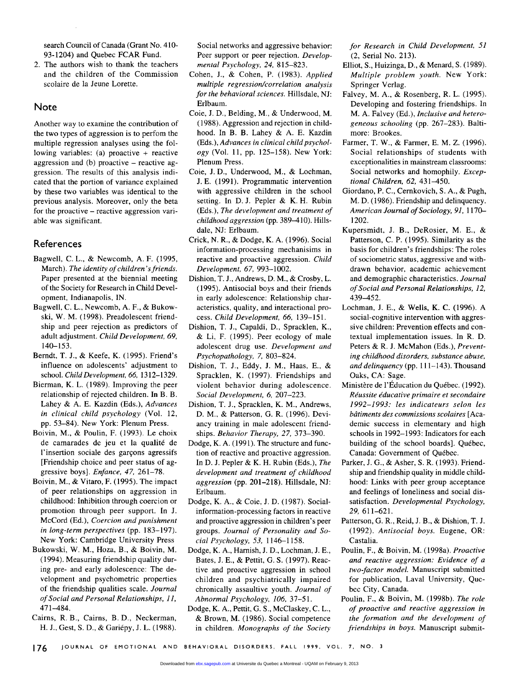search Council of Canada (Grant No. 410- 93-1204) and Quebec FCAR Fund.

2. The authors wish to thank the teachers and the children of the Commission scolaire de la Jeune Lorette.

#### Note

Another way to examine the contribution of the two types of aggression is to perfom the multiple regression analyses using the following variables: (a) proactive + reactive aggression and (b) proactive  $-$  reactive aggression. The results of this analysis indicated that the portion of variance explained by these two variables was identical to the previous analysis. Moreover, only the beta for the proactive – reactive aggression variable was significant.

#### References

- Bagwell, C. L., & Newcomb, A. F. (1995, March). The identity of children's friends. Paper presented at the biennial meeting of the Society for Research in Child Development, Indianapolis, IN.
- Bagwell, C. L., Newcomb, A. F., & Bukowski, W. M. (1998). Preadolescent friendship and peer rejection as predictors of adult adjustment. Child Development, 69, 140-153.
- Berndt, T. J., & Keefe, K. (1995). Friend's influence on adolescents' adjustment to school. Child Development, 66, 1312-1329.
- Bierman, K. L. (1989). Improving the peer relationship of rejected children. In B. B. Lahey & A. E. Kazdin (Eds.), Advances in clinical child psychology (Vol. 12, pp. 53-84). New York: Plenum Press.
- Boivin, M., & Poulin, F. (1993). Le choix de camarades de jeu et la qualité de l'insertion sociale des garçons agressifs [Friendship choice and peer status of aggressive boys]. Enfance, 47, 261-78.
- Boivin, M., & Vitaro, F. (1995). The impact of peer relationships on aggression in childhood: Inhibition through coercion or promotion through peer support. In J. McCord (Ed.), Coercion and punishment in long-term perspectives (pp. 183-197). New York: Cambridge University Press
- Bukowski, W. M., Hoza, B., & Boivin, M. (1994). Measuring friendship quality during pre- and early adolescence: The development and psychometric properties of the friendship qualities scale. Journal of Social and Personal Relationships, 11, 471-484.
- Cairns, R. B., Cairns, B. D., Neckerman, H. J., Gest, S. D., & Gariépy, J. L. (1988).

Social networks and aggressive behavior: Peer support or peer rejection. Developmental Psychology, 24, 815-823.

- Cohen, J., & Cohen, P. (1983). Applied multiple regression/correlation analysis for the behavioral sciences. Hillsdale, NJ: Erlbaum.
- Coie, J. D., Belding, M., & Underwood, M. (1988). Aggression and rejection in childhood. In B. B. Lahey & A. E. Kazdin (Eds.), Advances in clinical child psychology (Vol. 11, pp. 125-158). New York: Plenum Press.
- Coie, J. D., Underwood, M., & Lochman, J. E. (1991). Programmatic intervention with aggressive children in the school setting. In D. J. Pepler & K. H. Rubin (Eds.), The development and treatment of childhood aggression (pp. 389-410). Hillsdale, NJ: Erlbaum.
- Crick, N. R., & Dodge, K. A. (1996). Social information-processing mechanisims in reactive and proactive aggression. Child Development, 67, 993-1002.
- Dishion, T. J., Andrews, D. M., & Crosby, L. (1995). Antisocial boys and their friends in early adolescence: Relationship characteristics, quality, and interactional process. Child Development, 66, 139-151.
- Dishion, T. J., Capaldi, D., Spracklen, K., & Li, F. (1995). Peer ecology of male adolescent drug use. Development and Psychopathology, 7, 803-824.
- Dishion, T. J., Eddy, J. M., Haas, E., & Spracklen, K. (1997). Friendships and violent behavior during adolescence. Social Development, 6, 207-223.
- Dishion, T. J., Spracklen, K. M., Andrews, D. M., & Patterson, G. R. (1996). Deviancy training in male adolescent friendships. Behavior Therapy, 27, 373-390.
- Dodge, K. A. (1991). The structure and function of reactive and proactive aggression. In D. J. Pepler & K. H. Rubin (Eds.), The development and treatment of childhood aggression (pp. 201-218). Hillsdale, NJ: Erlbaum.
- Dodge, K. A., & Coie, J. D. (1987). Socialinformation-processing factors in reactive and proactive aggression in children's peer groups. Journal of Personality and Social Psychology, 53, 1146-1158.
- Dodge, K. A., Harnish, J. D., Lochman, J. E., Bates, J. E., & Pettit, G. S. (1997). Reactive and proactive aggression in school children and psychiatrically impaired chronically assaultive youth. Journal of Abnormal Psychology, 106, 37-51.
- Dodge, K. A., Pettit, G. S., McClaskey, C. L., & Brown, M. (1986). Social competence in children. Monographs of the Society

for Research in Child Development, 51 (2, Serial No. 213).

- Elliot, S., Huizinga, D., & Menard, S. (1989). Multiple problem youth. New York: Springer Verlag.
- Falvey, M. A., & Rosenberg, R. L. (1995). Developing and fostering friendships. In M. A. Falvey (Ed.), Inclusive and heterogeneous schooling (pp. 267-283). Baltimore: Brookes.
- Farmer, T. W., & Farmer, E. M. Z. (1996). Social relationships of students with exceptionalities in mainstream classrooms: Social networks and homophily. Exceptional Children, 62, 431-450.
- Giordano, P. C., Cernkovich, S. A., & Pugh, M. D. (1986). Friendship and delinquency. American Journal of Sociology, 91, 1170- 1202.
- Kupersmidt, J. B., DeRosier, M. E., & Patterson, C. P. (1995). Similarity as the basis for children's friendships: The roles of sociometric status, aggressive and withdrawn behavior, academic achievement and demographic characteristics. Journal of Social and Personal Relationships, 12, 439-452.
- Lochman, J. E., & Wells, K. C. (1996). A social-cognitive intervention with aggressive children: Prevention effects and contextual implementation issues. In R. D. Peters & R. J. McMahon (Eds.), Preventing childhood disorders, substance abuse, and delinquency (pp. 111-143). Thousand Oaks, CA: Sage.
- Ministère de l'Éducation du Québec. (1992). Réussite éducative primaire et secondaire 1992-1993: les indicateurs selon les bâtiments des commissions scolaires [Academic success in elementary and high schools in 1992-1993: Indicators for each building of the school boards]. Québec, Canada: Government of Québec.
- Parker, J. G., & Asher, S. R. (1993). Friendship and friendship quality in middle childhood: Links with peer group acceptance and feelings of loneliness and social dissatisfaction. Developmental Psychology, 29, 611-621.
- Patterson, G. R., Reid, J. B., & Dishion, T. J. (1992). Antisocial boys. Eugene, OR: Castalia.
- Poulin, F., & Boivin, M. (1998a). Proactive and reactive aggression: Evidence of a two-factor model. Manuscript submitted for publication, Laval University, Quebec City, Canada.
- Poulin, F., & Boivin, M. (1998b). The role of proactive and reactive aggression in the formation and the development of friendships in boys. Manuscript submit-